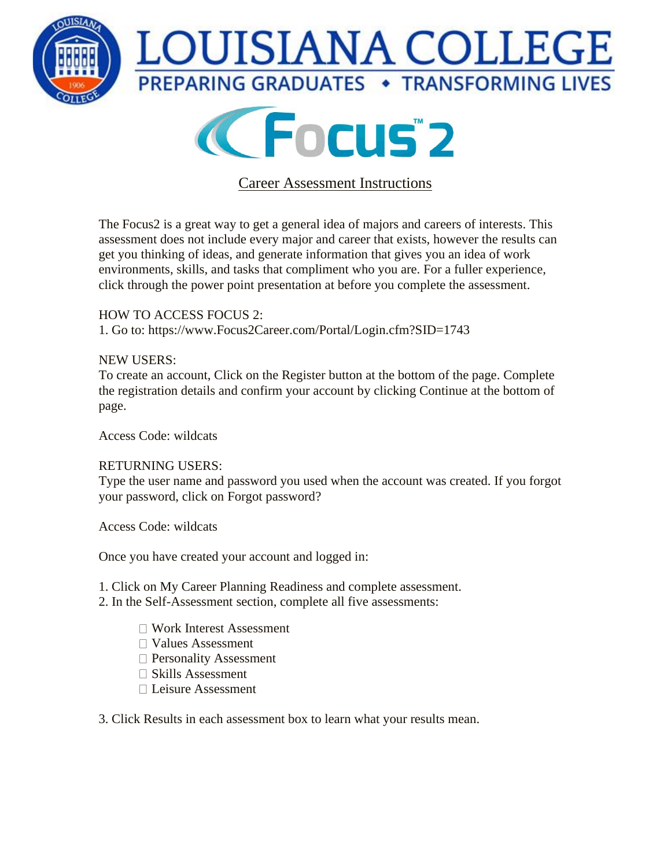



## Career Assessment Instructions

The Focus2 is a great way to get a general idea of majors and careers of interests. This assessment does not include every major and career that exists, however the results can get you thinking of ideas, and generate information that gives you an idea of work environments, skills, and tasks that compliment who you are. For a fuller experience, click through the power point presentation at before you complete the assessment.

## HOW TO ACCESS FOCUS 2:

1. Go to: https://www.Focus2Career.com/Portal/Login.cfm?SID=1743

## NEW USERS:

To create an account, Click on the Register button at the bottom of the page. Complete the registration details and confirm your account by clicking Continue at the bottom of page.

Access Code: wildcats

## RETURNING USERS:

Type the user name and password you used when the account was created. If you forgot your password, click on Forgot password?

Access Code: wildcats

Once you have created your account and logged in:

- 1. Click on My Career Planning Readiness and complete assessment.
- 2. In the Self-Assessment section, complete all five assessments:
	- Work Interest Assessment
	- Values Assessment
	- □ Personality Assessment
	- $\square$  Skills Assessment
	- Leisure Assessment

3. Click Results in each assessment box to learn what your results mean.